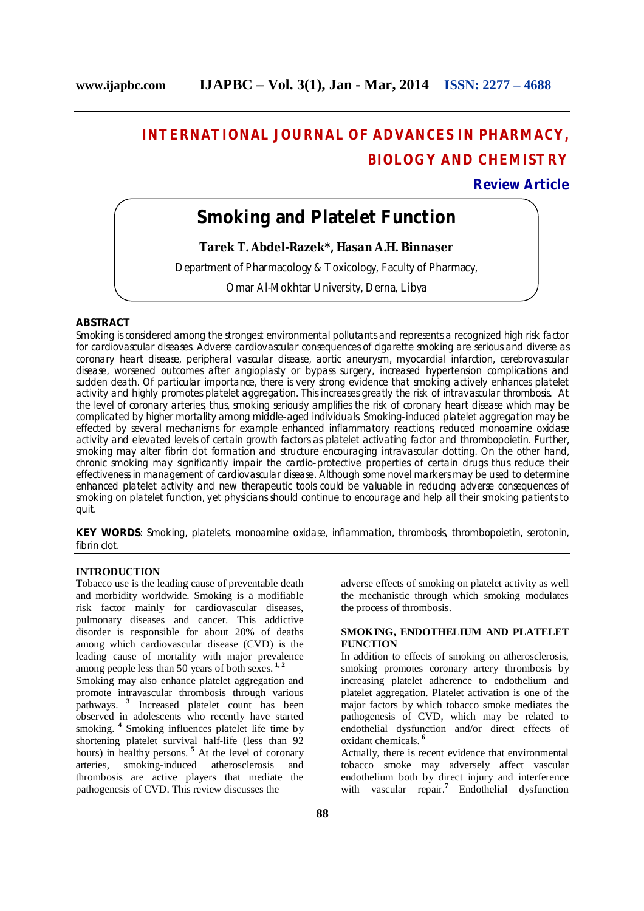# **INTERNATIONAL JOURNAL OF ADVANCES IN PHARMACY, BIOLOGY AND CHEMISTRY**

## **Review Article**

## **Smoking and Platelet Function**

**Tarek T. Abdel-Razek\*, Hasan A.H. Binnaser**

Department of Pharmacology & Toxicology, Faculty of Pharmacy,

Omar Al-Mokhtar University, Derna, Libya

## **ABSTRACT**

Smoking is considered among the strongest environmental pollutants and represents a recognized high risk factor for cardiovascular diseases. Adverse cardiovascular consequences of cigarette smoking are serious and diverse as coronary heart disease, peripheral vascular disease, aortic aneurysm, myocardial infarction, cerebrovascular disease, worsened outcomes after angioplasty or bypass surgery, increased hypertension complications and sudden death. Of particular importance, there is very strong evidence that smoking actively enhances platelet activity and highly promotes platelet aggregation. This increases greatly the risk of intravascular thrombosis. At the level of coronary arteries, thus, smoking seriously amplifies the risk of coronary heart disease which may be complicated by higher mortality among middle-aged individuals. Smoking-induced platelet aggregation may be effected by several mechanisms for example enhanced inflammatory reactions, reduced monoamine oxidase activity and elevated levels of certain growth factors as platelet activating factor and thrombopoietin. Further, smoking may alter fibrin clot formation and structure encouraging intravascular clotting. On the other hand, chronic smoking may significantly impair the cardio-protective properties of certain drugs thus reduce their effectiveness in management of cardiovascular disease. Although some novel markers may be used to determine enhanced platelet activity and new therapeutic tools could be valuable in reducing adverse consequences of smoking on platelet function, yet physicians should continue to encourage and help all their smoking patients to quit.

**KEY WORDS**: Smoking, platelets, monoamine oxidase, inflammation, thrombosis, thrombopoietin, serotonin, fibrin clot.

## **INTRODUCTION**

Tobacco use is the leading cause of preventable death and morbidity worldwide. Smoking is a modifiable risk factor mainly for cardiovascular diseases, pulmonary diseases and cancer. This addictive disorder is responsible for about 20% of deaths among which cardiovascular disease (CVD) is the leading cause of mortality with major prevalence among people less than 50 years of both sexes. **1, 2**

Smoking may also enhance platelet aggregation and promote intravascular thrombosis through various pathways. **<sup>3</sup>** Increased platelet count has been observed in adolescents who recently have started smoking. **<sup>4</sup>** Smoking influences platelet life time by shortening platelet survival half-life (less than 92 hours) in healthy persons.<sup>5</sup> At the level of coronary arteries, smoking-induced atherosclerosis and thrombosis are active players that mediate the pathogenesis of CVD. This review discusses the

adverse effects of smoking on platelet activity as well the mechanistic through which smoking modulates the process of thrombosis.

## **SMOKING, ENDOTHELIUM AND PLATELET FUNCTION**

In addition to effects of smoking on atherosclerosis, smoking promotes coronary artery thrombosis by increasing platelet adherence to endothelium and platelet aggregation. Platelet activation is one of the major factors by which tobacco smoke mediates the pathogenesis of CVD, which may be related to endothelial dysfunction and/or direct effects of oxidant chemicals. **<sup>6</sup>**

Actually, there is recent evidence that environmental tobacco smoke may adversely affect vascular endothelium both by direct injury and interference with vascular repair.<sup>7</sup> Endothelial dysfunction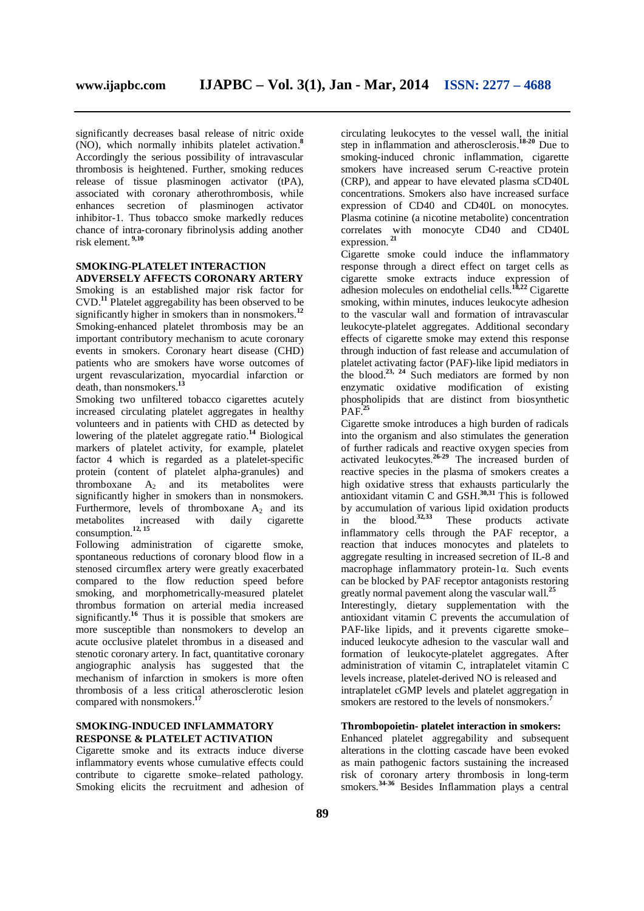significantly decreases basal release of nitric oxide (NO), which normally inhibits platelet activation.**<sup>8</sup>** Accordingly the serious possibility of intravascular thrombosis is heightened. Further, smoking reduces release of tissue plasminogen activator (tPA), associated with coronary atherothrombosis, while enhances secretion of plasminogen activator inhibitor-1. Thus tobacco smoke markedly reduces chance of intra-coronary fibrinolysis adding another risk element. **9,10**

## **SMOKING-PLATELET INTERACTION ADVERSELY AFFECTS CORONARY ARTERY**

Smoking is an established major risk factor for CVD. **<sup>11</sup>** Platelet aggregability has been observed to be significantly higher in smokers than in nonsmokers.**<sup>12</sup>** Smoking-enhanced platelet thrombosis may be an important contributory mechanism to acute coronary events in smokers. Coronary heart disease (CHD) patients who are smokers have worse outcomes of urgent revascularization, myocardial infarction or death, than nonsmokers.**<sup>13</sup>**

Smoking two unfiltered tobacco cigarettes acutely increased circulating platelet aggregates in healthy volunteers and in patients with CHD as detected by lowering of the platelet aggregate ratio.**<sup>14</sup>** Biological markers of platelet activity, for example, platelet factor 4 which is regarded as a platelet-specific protein (content of platelet alpha-granules) and thromboxane  $A_2$  and its metabolites were significantly higher in smokers than in nonsmokers. Furthermore, levels of thromboxane  $A_2$  and its metabolites increased with daily cigarette metabolites increased with consumption.<sup>12, 15</sup>

Following administration of cigarette smoke, spontaneous reductions of coronary blood flow in a stenosed circumflex artery were greatly exacerbated compared to the flow reduction speed before smoking, and morphometrically-measured platelet thrombus formation on arterial media increased significantly.**<sup>16</sup>** Thus it is possible that smokers are more susceptible than nonsmokers to develop an acute occlusive platelet thrombus in a diseased and stenotic coronary artery. In fact, quantitative coronary angiographic analysis has suggested that the mechanism of infarction in smokers is more often thrombosis of a less critical atherosclerotic lesion compared with nonsmokers.**<sup>17</sup>**

## **SMOKING-INDUCED INFLAMMATORY RESPONSE & PLATELET ACTIVATION**

Cigarette smoke and its extracts induce diverse inflammatory events whose cumulative effects could contribute to cigarette smoke–related pathology. Smoking elicits the recruitment and adhesion of

circulating leukocytes to the vessel wall, the initial step in inflammation and atherosclerosis.**18-20** Due to smoking-induced chronic inflammation, cigarette smokers have increased serum C-reactive protein (CRP), and appear to have elevated plasma sCD40L concentrations. Smokers also have increased surface expression of CD40 and CD40L on monocytes. Plasma cotinine (a nicotine metabolite) concentration correlates with monocyte CD40 and CD40L expression. **<sup>21</sup>**

Cigarette smoke could induce the inflammatory response through a direct effect on target cells as cigarette smoke extracts induce expression of adhesion molecules on endothelial cells.**18,22** Cigarette smoking, within minutes, induces leukocyte adhesion to the vascular wall and formation of intravascular leukocyte-platelet aggregates. Additional secondary effects of cigarette smoke may extend this response through induction of fast release and accumulation of platelet activating factor (PAF)-like lipid mediators in the blood.<sup>23, 24</sup> Such mediators are formed by non enzymatic oxidative modification of existing phospholipids that are distinct from biosynthetic  $PAF<sup>25</sup>$ 

Cigarette smoke introduces a high burden of radicals into the organism and also stimulates the generation of further radicals and reactive oxygen species from activated leukocytes. **26-29** The increased burden of reactive species in the plasma of smokers creates a high oxidative stress that exhausts particularly the antioxidant vitamin C and GSH.**30,31** This is followed by accumulation of various lipid oxidation products in the blood.**32,33** These products activate inflammatory cells through the PAF receptor, a reaction that induces monocytes and platelets to aggregate resulting in increased secretion of IL-8 and macrophage inflammatory protein-1α. Such events can be blocked by PAF receptor antagonists restoring greatly normal pavement along the vascular wall.**<sup>25</sup>** Interestingly, dietary supplementation with the antioxidant vitamin C prevents the accumulation of PAF-like lipids, and it prevents cigarette smoke– induced leukocyte adhesion to the vascular wall and formation of leukocyte-platelet aggregates. After administration of vitamin C, intraplatelet vitamin C levels increase, platelet-derived NO is released and intraplatelet cGMP levels and platelet aggregation in smokers are restored to the levels of nonsmokers. **7**

## **Thrombopoietin- platelet interaction in smokers:**

Enhanced platelet aggregability and subsequent alterations in the clotting cascade have been evoked as main pathogenic factors sustaining the increased risk of coronary artery thrombosis in long-term smokers. **34-36** Besides Inflammation plays a central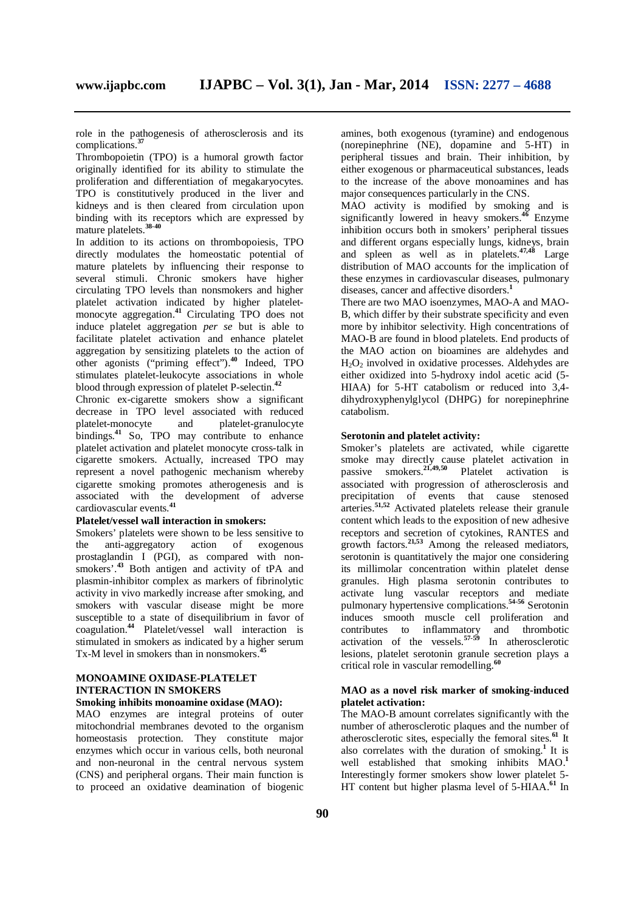role in the pathogenesis of atherosclerosis and its complications.**<sup>37</sup>**

Thrombopoietin (TPO) is a humoral growth factor originally identified for its ability to stimulate the proliferation and differentiation of megakaryocytes. TPO is constitutively produced in the liver and kidneys and is then cleared from circulation upon binding with its receptors which are expressed by mature platelets.**38-40**

In addition to its actions on thrombopoiesis, TPO directly modulates the homeostatic potential of mature platelets by influencing their response to several stimuli. Chronic smokers have higher circulating TPO levels than nonsmokers and higher platelet activation indicated by higher plateletmonocyte aggregation.**<sup>41</sup>** Circulating TPO does not induce platelet aggregation *per se* but is able to facilitate platelet activation and enhance platelet aggregation by sensitizing platelets to the action of other agonists ("priming effect").**<sup>40</sup>** Indeed, TPO stimulates platelet-leukocyte associations in whole blood through expression of platelet P-selectin.**<sup>42</sup>**

Chronic ex-cigarette smokers show a significant decrease in TPO level associated with reduced<br>platelet-monocyte and platelet-granulocyte platelet-granulocyte bindings.**<sup>41</sup>** So, TPO may contribute to enhance platelet activation and platelet monocyte cross-talk in cigarette smokers. Actually, increased TPO may represent a novel pathogenic mechanism whereby cigarette smoking promotes atherogenesis and is associated with the development of adverse cardiovascular events.**<sup>41</sup>**

## **Platelet/vessel wall interaction in smokers:**

Smokers' platelets were shown to be less sensitive to the anti-aggregatory action of exogenous prostaglandin I (PGI), as compared with nonsmokers'.<sup>43</sup> Both antigen and activity of tPA and plasmin-inhibitor complex as markers of fibrinolytic activity in vivo markedly increase after smoking, and smokers with vascular disease might be more susceptible to a state of disequilibrium in favor of coagulation.**<sup>44</sup>** Platelet/vessel wall interaction is stimulated in smokers as indicated by a higher serum Tx-M level in smokers than in nonsmokers.<sup>4</sup>

## **MONOAMINE OXIDASE-PLATELET INTERACTION IN SMOKERS**

## **Smoking inhibits monoamine oxidase (MAO):**

MAO enzymes are integral proteins of outer mitochondrial membranes devoted to the organism homeostasis protection. They constitute major enzymes which occur in various cells, both neuronal and non-neuronal in the central nervous system (CNS) and peripheral organs. Their main function is to proceed an oxidative deamination of biogenic

amines, both exogenous (tyramine) and endogenous (norepinephrine (NE), dopamine and 5-HT) in peripheral tissues and brain. Their inhibition, by either exogenous or pharmaceutical substances, leads to the increase of the above monoamines and has major consequences particularly in the CNS.

MAO activity is modified by smoking and is significantly lowered in heavy smokers.**<sup>46</sup>** Enzyme inhibition occurs both in smokers' peripheral tissues and different organs especially lungs, kidneys, brain and spleen as well as in platelets.**47,48** Large distribution of MAO accounts for the implication of these enzymes in cardiovascular diseases, pulmonary diseases, cancer and affective disorders. **1**

There are two MAO isoenzymes, MAO-A and MAO-B, which differ by their substrate specificity and even more by inhibitor selectivity. High concentrations of MAO-B are found in blood platelets. End products of the MAO action on bioamines are aldehydes and  $H_2O_2$  involved in oxidative processes. Aldehydes are either oxidized into 5-hydroxy indol acetic acid (5- HIAA) for 5-HT catabolism or reduced into 3,4 dihydroxyphenylglycol (DHPG) for norepinephrine catabolism.

#### **Serotonin and platelet activity:**

Smoker's platelets are activated, while cigarette smoke may directly cause platelet activation in passive smokers.**21,49,50** Platelet activation is associated with progression of atherosclerosis and precipitation of events that cause stenosed arteries.**51,52** Activated platelets release their granule content which leads to the exposition of new adhesive receptors and secretion of cytokines, RANTES and growth factors.**21,53** Among the released mediators, serotonin is quantitatively the major one considering its millimolar concentration within platelet dense granules. High plasma serotonin contributes to activate lung vascular receptors and mediate pulmonary hypertensive complications.**54-56** Serotonin induces smooth muscle cell proliferation and contributes to inflammatory and thrombotic activation of the vessels.**57-59** In atherosclerotic lesions, platelet serotonin granule secretion plays a critical role in vascular remodelling.**<sup>60</sup>**

## **MAO as a novel risk marker of smoking-induced platelet activation:**

The MAO-B amount correlates significantly with the number of atherosclerotic plaques and the number of atherosclerotic sites, especially the femoral sites.**<sup>61</sup>** It also correlates with the duration of smoking.**<sup>1</sup>**It is well established that smoking inhibits MAO.**<sup>1</sup>** Interestingly former smokers show lower platelet 5- HT content but higher plasma level of 5-HIAA.**<sup>61</sup>** In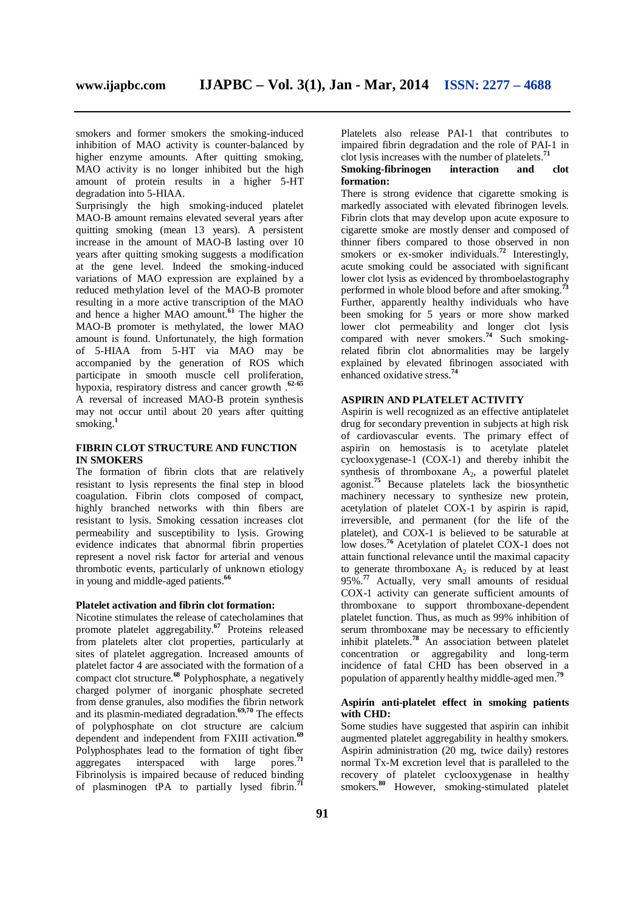smokers and former smokers the smoking-induced inhibition of MAO activity is counter-balanced by higher enzyme amounts. After quitting smoking, MAO activity is no longer inhibited but the high amount of protein results in a higher 5-HT degradation into 5-HIAA.

Surprisingly the high smoking-induced platelet MAO-B amount remains elevated several years after quitting smoking (mean 13 years). A persistent increase in the amount of MAO-B lasting over 10 years after quitting smoking suggests a modification at the gene level. Indeed the smoking-induced variations of MAO expression are explained by a reduced methylation level of the MAO-B promoter resulting in a more active transcription of the MAO and hence a higher MAO amount.**<sup>61</sup>** The higher the MAO-B promoter is methylated, the lower MAO amount is found. Unfortunately, the high formation of 5-HIAA from 5-HT via MAO may be accompanied by the generation of ROS which participate in smooth muscle cell proliferation, hypoxia, respiratory distress and cancer growth .**62-65** A reversal of increased MAO-B protein synthesis may not occur until about 20 years after quitting smoking.**<sup>1</sup>**

## **FIBRIN CLOT STRUCTURE AND FUNCTION IN SMOKERS**

The formation of fibrin clots that are relatively resistant to lysis represents the final step in blood coagulation. Fibrin clots composed of compact, highly branched networks with thin fibers are resistant to lysis. Smoking cessation increases clot permeability and susceptibility to lysis. Growing evidence indicates that abnormal fibrin properties represent a novel risk factor for arterial and venous thrombotic events, particularly of unknown etiology in young and middle-aged patients.**<sup>66</sup>**

## **Platelet activation and fibrin clot formation:**

Nicotine stimulates the release of catecholamines that promote platelet aggregability.**<sup>67</sup>** Proteins released from platelets alter clot properties, particularly at sites of platelet aggregation. Increased amounts of platelet factor 4 are associated with the formation of a compact clot structure.**<sup>68</sup>** Polyphosphate, a negatively charged polymer of inorganic phosphate secreted from dense granules, also modifies the fibrin network and its plasmin-mediated degradation.**69,70** The effects of polyphosphate on clot structure are calcium dependent and independent from FXIII activation.**<sup>69</sup>** Polyphosphates lead to the formation of tight fiber aggregates interspaced with large pores.<sup>71</sup> aggregates interspaced with Fibrinolysis is impaired because of reduced binding of plasminogen tPA to partially lysed fibrin.**<sup>71</sup>**

Platelets also release PAI-1 that contributes to impaired fibrin degradation and the role of PAI-1 in clot lysis increases with the number of platelets.**<sup>71</sup>**

## **Smoking-fibrinogen interaction and clot formation:**

There is strong evidence that cigarette smoking is markedly associated with elevated fibrinogen levels. Fibrin clots that may develop upon acute exposure to cigarette smoke are mostly denser and composed of thinner fibers compared to those observed in non smokers or ex-smoker individuals.<sup>72</sup> Interestingly, acute smoking could be associated with significant lower clot lysis as evidenced by thromboelastography performed in whole blood before and after smoking.<sup>7</sup> Further, apparently healthy individuals who have been smoking for 5 years or more show marked lower clot permeability and longer clot lysis compared with never smokers.**<sup>74</sup>** Such smokingrelated fibrin clot abnormalities may be largely explained by elevated fibrinogen associated with enhanced oxidative stress.**<sup>74</sup>**

## **ASPIRIN AND PLATELET ACTIVITY**

Aspirin is well recognized as an effective antiplatelet drug for secondary prevention in subjects at high risk of cardiovascular events. The primary effect of aspirin on hemostasis is to acetylate platelet cyclooxygenase-1 (COX-1) and thereby inhibit the synthesis of thromboxane  $A_2$ , a powerful platelet agonist.<sup>75</sup> Because platelets lack the biosynthetic machinery necessary to synthesize new protein, acetylation of platelet COX-1 by aspirin is rapid, irreversible, and permanent (for the life of the platelet), and COX-1 is believed to be saturable at low doses.**<sup>76</sup>** Acetylation of platelet COX-1 does not attain functional relevance until the maximal capacity to generate thromboxane  $A_2$  is reduced by at least 95%.<sup>77</sup> Actually, very small amounts of residual COX-1 activity can generate sufficient amounts of thromboxane to support thromboxane-dependent platelet function. Thus, as much as 99% inhibition of serum thromboxane may be necessary to efficiently inhibit platelets.**<sup>78</sup>** An association between platelet concentration or aggregability and long-term incidence of fatal CHD has been observed in a population of apparently healthy middle-aged men.**<sup>79</sup>**

## **Aspirin anti-platelet effect in smoking patients with CHD:**

Some studies have suggested that aspirin can inhibit augmented platelet aggregability in healthy smokers. Aspirin administration (20 mg, twice daily) restores normal Tx-M excretion level that is paralleled to the recovery of platelet cyclooxygenase in healthy smokers.**<sup>80</sup>** However, smoking-stimulated platelet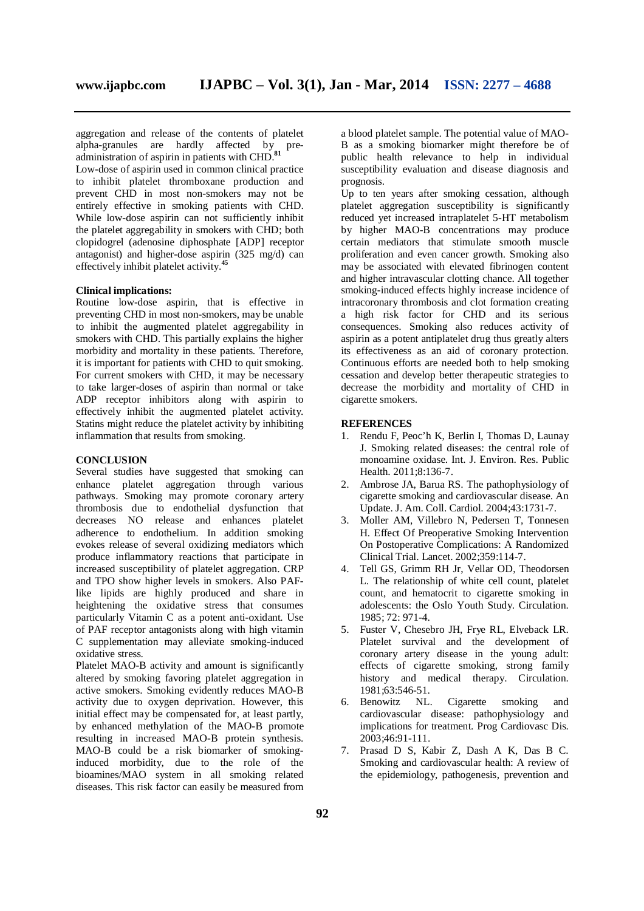aggregation and release of the contents of platelet alpha-granules are hardly affected by preadministration of aspirin in patients with CHD.**<sup>81</sup>**

Low-dose of aspirin used in common clinical practice to inhibit platelet thromboxane production and prevent CHD in most non-smokers may not be entirely effective in smoking patients with CHD. While low-dose aspirin can not sufficiently inhibit the platelet aggregability in smokers with CHD; both clopidogrel (adenosine diphosphate [ADP] receptor antagonist) and higher-dose aspirin (325 mg/d) can effectively inhibit platelet activity.**<sup>45</sup>**

## **Clinical implications:**

Routine low-dose aspirin, that is effective in preventing CHD in most non-smokers, may be unable to inhibit the augmented platelet aggregability in smokers with CHD. This partially explains the higher morbidity and mortality in these patients. Therefore, it is important for patients with CHD to quit smoking. For current smokers with CHD, it may be necessary to take larger-doses of aspirin than normal or take ADP receptor inhibitors along with aspirin to effectively inhibit the augmented platelet activity. Statins might reduce the platelet activity by inhibiting inflammation that results from smoking.

## **CONCLUSION**

Several studies have suggested that smoking can enhance platelet aggregation through various pathways. Smoking may promote coronary artery thrombosis due to endothelial dysfunction that decreases NO release and enhances platelet adherence to endothelium. In addition smoking evokes release of several oxidizing mediators which produce inflammatory reactions that participate in increased susceptibility of platelet aggregation. CRP and TPO show higher levels in smokers. Also PAFlike lipids are highly produced and share in heightening the oxidative stress that consumes particularly Vitamin C as a potent anti-oxidant. Use of PAF receptor antagonists along with high vitamin C supplementation may alleviate smoking-induced oxidative stress.

Platelet MAO-B activity and amount is significantly altered by smoking favoring platelet aggregation in active smokers. Smoking evidently reduces MAO-B activity due to oxygen deprivation. However, this initial effect may be compensated for, at least partly, by enhanced methylation of the MAO-B promote resulting in increased MAO-B protein synthesis. MAO-B could be a risk biomarker of smokinginduced morbidity, due to the role of the bioamines/MAO system in all smoking related diseases. This risk factor can easily be measured from

a blood platelet sample. The potential value of MAO-B as a smoking biomarker might therefore be of public health relevance to help in individual susceptibility evaluation and disease diagnosis and prognosis.

Up to ten years after smoking cessation, although platelet aggregation susceptibility is significantly reduced yet increased intraplatelet 5-HT metabolism by higher MAO-B concentrations may produce certain mediators that stimulate smooth muscle proliferation and even cancer growth. Smoking also may be associated with elevated fibrinogen content and higher intravascular clotting chance. All together smoking-induced effects highly increase incidence of intracoronary thrombosis and clot formation creating a high risk factor for CHD and its serious consequences. Smoking also reduces activity of aspirin as a potent antiplatelet drug thus greatly alters its effectiveness as an aid of coronary protection. Continuous efforts are needed both to help smoking cessation and develop better therapeutic strategies to decrease the morbidity and mortality of CHD in cigarette smokers.

## **REFERENCES**

- 1. Rendu F, Peoc'h K, Berlin I, Thomas D, Launay J. Smoking related diseases: the central role of monoamine oxidase. Int. J. Environ. Res. Public Health. 2011;8:136-7.
- 2. Ambrose JA, Barua RS. The pathophysiology of cigarette smoking and cardiovascular disease. An Update. J. Am. Coll. Cardiol. 2004;43:1731-7.
- 3. Moller AM, Villebro N, Pedersen T, Tonnesen H. Effect Of Preoperative Smoking Intervention On Postoperative Complications: A Randomized Clinical Trial. Lancet. 2002;359:114-7.
- 4. Tell GS, Grimm RH Jr, Vellar OD, Theodorsen L. The relationship of white cell count, platelet count, and hematocrit to cigarette smoking in adolescents: the Oslo Youth Study. Circulation. 1985; 72: 971-4.
- 5. Fuster V, Chesebro JH, Frye RL, Elveback LR. Platelet survival and the development of coronary artery disease in the young adult: effects of cigarette smoking, strong family history and medical therapy. Circulation. 1981;63:546-51.
- 6. Benowitz NL. Cigarette smoking and cardiovascular disease: pathophysiology and implications for treatment. Prog Cardiovasc Dis. 2003;46:91-111.
- 7. Prasad D S, Kabir Z, Dash A K, Das B C. Smoking and cardiovascular health: A review of the epidemiology, pathogenesis, prevention and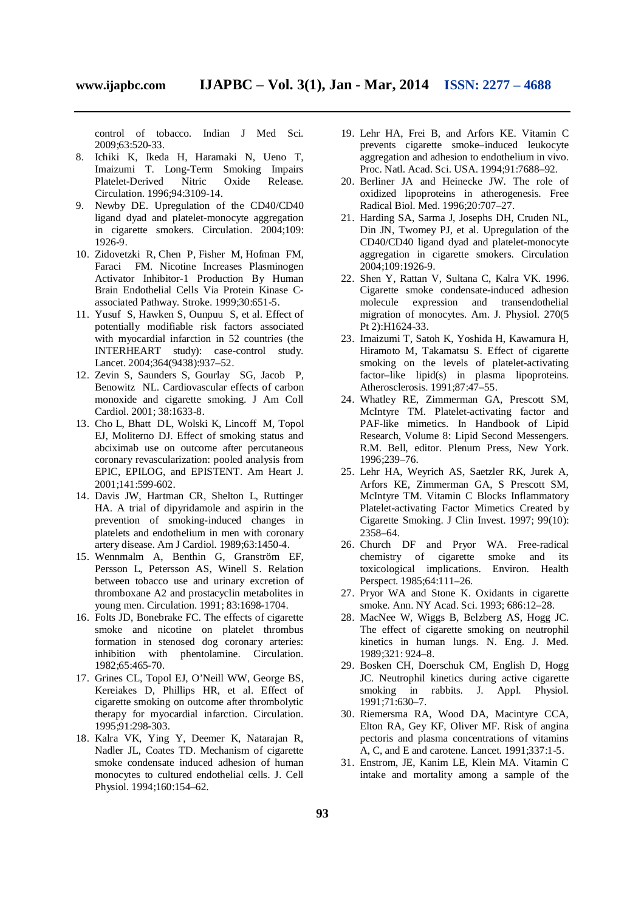control of tobacco. Indian J Med Sci. 2009;63:520-33.

- 8. Ichiki K, Ikeda H, Haramaki N, Ueno T, Imaizumi T. Long-Term Smoking Impairs Platelet-Derived Nitric Oxide Release. Circulation. 1996;94:3109-14.
- 9. Newby DE. Upregulation of the CD40/CD40 ligand dyad and platelet-monocyte aggregation in cigarette smokers. Circulation. 2004;109: 1926-9.
- 10. Zidovetzki R, Chen P, Fisher M, Hofman FM, Faraci FM. Nicotine Increases Plasminogen Activator Inhibitor-1 Production By Human Brain Endothelial Cells Via Protein Kinase Cassociated Pathway. Stroke. 1999;30:651-5.
- 11. Yusuf S, Hawken S, Ounpuu S, et al. Effect of potentially modifiable risk factors associated with myocardial infarction in 52 countries (the INTERHEART study): case-control study. Lancet. 2004;364(9438):937–52.
- 12. Zevin S, Saunders S, Gourlay SG, Jacob P, Benowitz NL. Cardiovascular effects of carbon monoxide and cigarette smoking. J Am Coll Cardiol. 2001; 38:1633-8.
- 13. Cho L, Bhatt DL, Wolski K, Lincoff M, Topol EJ, Moliterno DJ. Effect of smoking status and abciximab use on outcome after percutaneous coronary revascularization: pooled analysis from EPIC, EPILOG, and EPISTENT. Am Heart J. 2001;141:599-602.
- 14. Davis JW, Hartman CR, Shelton L, Ruttinger HA. A trial of dipyridamole and aspirin in the prevention of smoking-induced changes in platelets and endothelium in men with coronary artery disease. Am J Cardiol. 1989;63:1450-4.
- 15. Wennmalm A, Benthin G, Granström EF, Persson L, Petersson AS, Winell S. Relation between tobacco use and urinary excretion of thromboxane A2 and prostacyclin metabolites in young men. Circulation. 1991; 83:1698-1704.
- 16. Folts JD, Bonebrake FC. The effects of cigarette smoke and nicotine on platelet thrombus formation in stenosed dog coronary arteries: inhibition with phentolamine. Circulation. 1982;65:465-70.
- 17. Grines CL, Topol EJ, O'Neill WW, George BS, Kereiakes D, Phillips HR, et al. Effect of cigarette smoking on outcome after thrombolytic therapy for myocardial infarction. Circulation. 1995;91:298-303.
- 18. Kalra VK, Ying Y, Deemer K, Natarajan R, Nadler JL, Coates TD. Mechanism of cigarette smoke condensate induced adhesion of human monocytes to cultured endothelial cells. J. Cell Physiol. 1994;160:154–62.
- 19. Lehr HA, Frei B, and Arfors KE. Vitamin C prevents cigarette smoke–induced leukocyte aggregation and adhesion to endothelium in vivo. Proc. Natl. Acad. Sci. USA. 1994;91:7688–92.
- 20. Berliner JA and Heinecke JW. The role of oxidized lipoproteins in atherogenesis. Free Radical Biol. Med. 1996;20:707–27.
- 21. Harding SA, Sarma J, Josephs DH, Cruden NL, Din JN, Twomey PJ, et al. Upregulation of the CD40/CD40 ligand dyad and platelet-monocyte aggregation in cigarette smokers. Circulation 2004;109:1926-9.
- 22. Shen Y, Rattan V, Sultana C, Kalra VK. 1996. Cigarette smoke condensate-induced adhesion molecule expression and transendothelial migration of monocytes. Am. J. Physiol. 270(5 Pt 2):H1624-33.
- 23. Imaizumi T, Satoh K, Yoshida H, Kawamura H, Hiramoto M, Takamatsu S. Effect of cigarette smoking on the levels of platelet-activating factor–like lipid(s) in plasma lipoproteins. Atherosclerosis. 1991;87:47–55.
- 24. Whatley RE, Zimmerman GA, Prescott SM, McIntyre TM. Platelet-activating factor and PAF-like mimetics. In Handbook of Lipid Research, Volume 8: Lipid Second Messengers. R.M. Bell, editor. Plenum Press, New York. 1996;239–76.
- 25. Lehr HA, Weyrich AS, Saetzler RK, Jurek A, Arfors KE, Zimmerman GA, S Prescott SM, McIntyre TM. Vitamin C Blocks Inflammatory Platelet-activating Factor Mimetics Created by Cigarette Smoking. J Clin Invest. 1997; 99(10): 2358–64.
- 26. Church DF and Pryor WA. Free-radical chemistry of cigarette smoke and its toxicological implications. Environ. Health Perspect. 1985;64:111–26.
- 27. Pryor WA and Stone K. Oxidants in cigarette smoke. Ann. NY Acad. Sci. 1993; 686:12–28.
- 28. MacNee W, Wiggs B, Belzberg AS, Hogg JC. The effect of cigarette smoking on neutrophil kinetics in human lungs. N. Eng. J. Med. 1989;321: 924–8.
- 29. Bosken CH, Doerschuk CM, English D, Hogg JC. Neutrophil kinetics during active cigarette smoking in rabbits. J. Appl. Physiol. 1991;71:630–7.
- 30. Riemersma RA, Wood DA, Macintyre CCA, Elton RA, Gey KF, Oliver MF. Risk of angina pectoris and plasma concentrations of vitamins A, C, and E and carotene. Lancet. 1991;337:1-5.
- 31. Enstrom, JE, Kanim LE, Klein MA. Vitamin C intake and mortality among a sample of the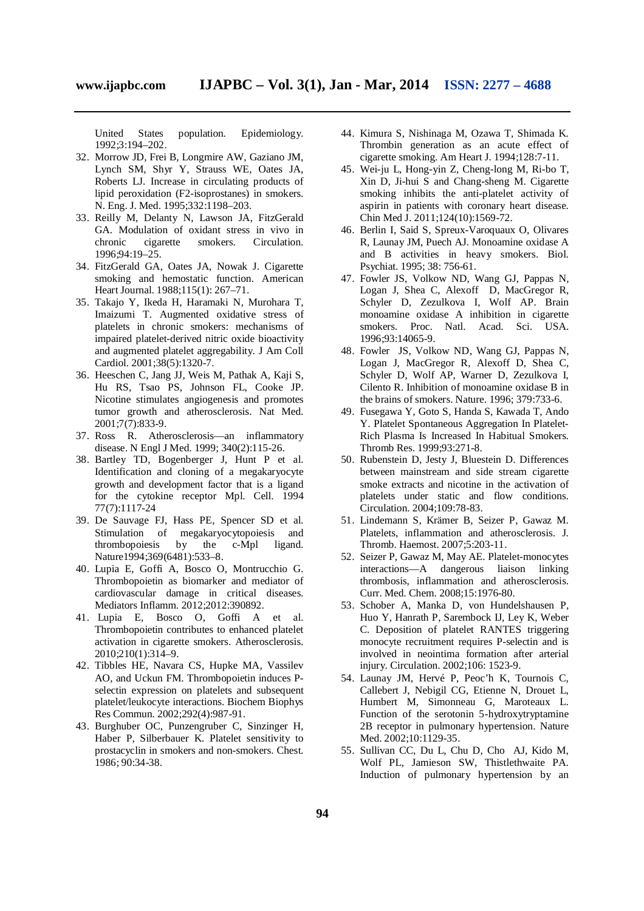United States population. Epidemiology. 1992;3:194–202.

- 32. Morrow JD, Frei B, Longmire AW, Gaziano JM, Lynch SM, Shyr Y, Strauss WE, Oates JA, Roberts LJ. Increase in circulating products of lipid peroxidation (F2-isoprostanes) in smokers. N. Eng. J. Med. 1995;332:1198–203.
- 33. Reilly M, Delanty N, Lawson JA, FitzGerald GA. Modulation of oxidant stress in vivo in chronic cigarette smokers. Circulation. 1996;94:19–25.
- 34. FitzGerald GA, Oates JA, Nowak J. Cigarette smoking and hemostatic function. American Heart Journal. 1988;115(1): 267–71.
- 35. Takajo Y, Ikeda H, Haramaki N, Murohara T, Imaizumi T. Augmented oxidative stress of platelets in chronic smokers: mechanisms of impaired platelet-derived nitric oxide bioactivity and augmented platelet aggregability. J Am Coll Cardiol. 2001;38(5):1320-7.
- 36. Heeschen C, Jang JJ, Weis M, Pathak A, Kaji S, Hu RS, Tsao PS, Johnson FL, Cooke JP. Nicotine stimulates angiogenesis and promotes tumor growth and atherosclerosis. Nat Med. 2001;7(7):833-9.
- 37. Ross R. Atherosclerosis—an inflammatory disease. N Engl J Med. 1999; 340(2):115-26.
- 38. Bartley TD, Bogenberger J, Hunt P et al. Identification and cloning of a megakaryocyte growth and development factor that is a ligand for the cytokine receptor Mpl. Cell. 1994 77(7):1117-24
- 39. De Sauvage FJ, Hass PE, Spencer SD et al. Stimulation of megakaryocytopoiesis and thrombopoiesis by the c-Mpl ligand. Nature1994;369(6481):533–8.
- 40. Lupia E, Goffi A, Bosco O, Montrucchio G. Thrombopoietin as biomarker and mediator of cardiovascular damage in critical diseases. Mediators Inflamm. 2012;2012:390892.
- 41. Lupia E, Bosco O, Goffi A et al. Thrombopoietin contributes to enhanced platelet activation in cigarette smokers. Atherosclerosis. 2010;210(1):314–9.
- 42. Tibbles HE, Navara CS, Hupke MA, Vassilev AO, and Uckun FM. Thrombopoietin induces Pselectin expression on platelets and subsequent platelet/leukocyte interactions. Biochem Biophys Res Commun. 2002;292(4):987-91.
- 43. Burghuber OC, Punzengruber C, Sinzinger H, Haber P, Silberbauer K. Platelet sensitivity to prostacyclin in smokers and non-smokers. Chest. 1986; 90:34-38.
- 44. Kimura S, Nishinaga M, Ozawa T, Shimada K. Thrombin generation as an acute effect of cigarette smoking. Am Heart J. 1994;128:7-11.
- 45. Wei-ju L, Hong-yin Z, Cheng-long M, Ri-bo T, Xin D, Ji-hui S and Chang-sheng M. Cigarette smoking inhibits the anti-platelet activity of aspirin in patients with coronary heart disease. Chin Med J. 2011;124(10):1569-72.
- 46. Berlin I, Said S, Spreux-Varoquaux O, Olivares R, Launay JM, Puech AJ. Monoamine oxidase A and B activities in heavy smokers. Biol. Psychiat. 1995; 38: 756-61.
- 47. Fowler JS, Volkow ND, Wang GJ, Pappas N, Logan J, Shea C, Alexoff D, MacGregor R, Schyler D, Zezulkova I, Wolf AP. Brain monoamine oxidase A inhibition in cigarette smokers. Proc. Natl. Acad. Sci. USA. 1996;93:14065-9.
- 48. Fowler JS, Volkow ND, Wang GJ, Pappas N, Logan J, MacGregor R, Alexoff D, Shea C, Schyler D, Wolf AP, Warner D, Zezulkova I, Cilento R. Inhibition of monoamine oxidase B in the brains of smokers. Nature. 1996; 379:733-6.
- 49. Fusegawa Y, Goto S, Handa S, Kawada T, Ando Y. Platelet Spontaneous Aggregation In Platelet-Rich Plasma Is Increased In Habitual Smokers. Thromb Res. 1999;93:271-8.
- 50. Rubenstein D, Jesty J, Bluestein D. Differences between mainstream and side stream cigarette smoke extracts and nicotine in the activation of platelets under static and flow conditions. Circulation. 2004;109:78-83.
- 51. Lindemann S, Krämer B, Seizer P, Gawaz M. Platelets, inflammation and atherosclerosis. J. Thromb. Haemost. 2007;5:203-11.
- 52. Seizer P, Gawaz M, May AE. Platelet-monocytes interactions—A dangerous liaison linking thrombosis, inflammation and atherosclerosis. Curr. Med. Chem. 2008;15:1976-80.
- 53. Schober A, Manka D, von Hundelshausen P, Huo Y, Hanrath P, Sarembock IJ, Ley K, Weber C. Deposition of platelet RANTES triggering monocyte recruitment requires P-selectin and is involved in neointima formation after arterial injury. Circulation. 2002;106: 1523-9.
- 54. Launay JM, Hervé P, Peoc'h K, Tournois C, Callebert J, Nebigil CG, Etienne N, Drouet L, Humbert M, Simonneau G, Maroteaux L. Function of the serotonin 5-hydroxytryptamine 2B receptor in pulmonary hypertension. Nature Med. 2002;10:1129-35.
- 55. Sullivan CC, Du L, Chu D, Cho AJ, Kido M, Wolf PL, Jamieson SW, Thistlethwaite PA. Induction of pulmonary hypertension by an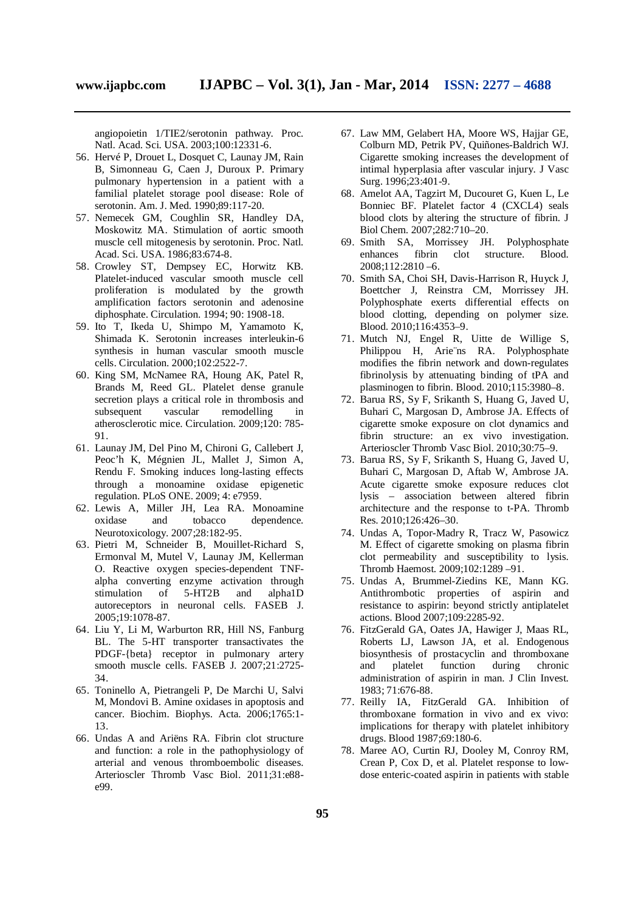angiopoietin 1/TIE2/serotonin pathway. Proc. Natl. Acad. Sci. USA. 2003;100:12331-6.

- 56. Hervé P, Drouet L, Dosquet C, Launay JM, Rain B, Simonneau G, Caen J, Duroux P. Primary pulmonary hypertension in a patient with a familial platelet storage pool disease: Role of serotonin. Am. J. Med. 1990;89:117-20.
- 57. Nemecek GM, Coughlin SR, Handley DA, Moskowitz MA. Stimulation of aortic smooth muscle cell mitogenesis by serotonin. Proc. Natl. Acad. Sci. USA. 1986;83:674-8.
- 58. Crowley ST, Dempsey EC, Horwitz KB. Platelet-induced vascular smooth muscle cell proliferation is modulated by the growth amplification factors serotonin and adenosine diphosphate. Circulation. 1994; 90: 1908-18.
- 59. Ito T, Ikeda U, Shimpo M, Yamamoto K, Shimada K. Serotonin increases interleukin-6 synthesis in human vascular smooth muscle cells. Circulation. 2000;102:2522-7.
- 60. King SM, McNamee RA, Houng AK, Patel R, Brands M, Reed GL. Platelet dense granule secretion plays a critical role in thrombosis and subsequent vascular remodelling in atherosclerotic mice. Circulation. 2009;120: 785- **Q1**
- 61. Launay JM, Del Pino M, Chironi G, Callebert J, Peoc'h K, Mégnien JL, Mallet J, Simon A, Rendu F. Smoking induces long-lasting effects through a monoamine oxidase epigenetic regulation. PLoS ONE. 2009; 4: e7959.
- 62. Lewis A, Miller JH, Lea RA. Monoamine oxidase and tobacco dependence. Neurotoxicology. 2007;28:182-95.
- 63. Pietri M, Schneider B, Mouillet-Richard S, Ermonval M, Mutel V, Launay JM, Kellerman O. Reactive oxygen species-dependent TNFalpha converting enzyme activation through stimulation of 5-HT2B and alpha1D autoreceptors in neuronal cells. FASEB J. 2005;19:1078-87.
- 64. Liu Y, Li M, Warburton RR, Hill NS, Fanburg BL. The 5-HT transporter transactivates the PDGF-{beta} receptor in pulmonary artery smooth muscle cells. FASEB J. 2007;21:2725- 34.
- 65. Toninello A, Pietrangeli P, De Marchi U, Salvi M, Mondovi B. Amine oxidases in apoptosis and cancer. Biochim. Biophys. Acta. 2006;1765:1- 13.
- 66. Undas A and Ariëns RA. Fibrin clot structure and function: a role in the pathophysiology of arterial and venous thromboembolic diseases. Arterioscler Thromb Vasc Biol. 2011;31:e88 e99.
- 67. Law MM, Gelabert HA, Moore WS, Hajjar GE, Colburn MD, Petrik PV, Quiñones-Baldrich WJ. Cigarette smoking increases the development of intimal hyperplasia after vascular injury. J Vasc Surg. 1996;23:401-9.
- 68. Amelot AA, Tagzirt M, Ducouret G, Kuen L, Le Bonniec BF. Platelet factor 4 (CXCL4) seals blood clots by altering the structure of fibrin. J Biol Chem. 2007;282:710–20.
- 69. Smith SA, Morrissey JH. Polyphosphate enhances fibrin clot structure. Blood. 2008;112:2810 –6.
- 70. Smith SA, Choi SH, Davis-Harrison R, Huyck J, Boettcher J, Reinstra CM, Morrissey JH. Polyphosphate exerts differential effects on blood clotting, depending on polymer size. Blood. 2010;116:4353–9.
- 71. Mutch NJ, Engel R, Uitte de Willige S, Philippou H, Arie¨ns RA. Polyphosphate modifies the fibrin network and down-regulates fibrinolysis by attenuating binding of tPA and plasminogen to fibrin. Blood. 2010;115:3980–8.
- 72. Barua RS, Sy F, Srikanth S, Huang G, Javed U, Buhari C, Margosan D, Ambrose JA. Effects of cigarette smoke exposure on clot dynamics and fibrin structure: an ex vivo investigation. Arterioscler Thromb Vasc Biol. 2010;30:75–9.
- 73. Barua RS, Sy F, Srikanth S, Huang G, Javed U, Buhari C, Margosan D, Aftab W, Ambrose JA. Acute cigarette smoke exposure reduces clot lysis – association between altered fibrin architecture and the response to t-PA. Thromb Res. 2010;126:426–30.
- 74. Undas A, Topor-Madry R, Tracz W, Pasowicz M. Effect of cigarette smoking on plasma fibrin clot permeability and susceptibility to lysis. Thromb Haemost. 2009;102:1289 –91.
- 75. Undas A, Brummel-Ziedins KE, Mann KG. Antithrombotic properties of aspirin and resistance to aspirin: beyond strictly antiplatelet actions. Blood 2007;109:2285-92.
- 76. FitzGerald GA, Oates JA, Hawiger J, Maas RL, Roberts LJ, Lawson JA, et al. Endogenous biosynthesis of prostacyclin and thromboxane and platelet function during chronic administration of aspirin in man. J Clin Invest. 1983; 71:676-88.
- 77. Reilly IA, FitzGerald GA. Inhibition of thromboxane formation in vivo and ex vivo: implications for therapy with platelet inhibitory drugs. Blood 1987;69:180-6.
- 78. Maree AO, Curtin RJ, Dooley M, Conroy RM, Crean P, Cox D, et al. Platelet response to lowdose enteric-coated aspirin in patients with stable